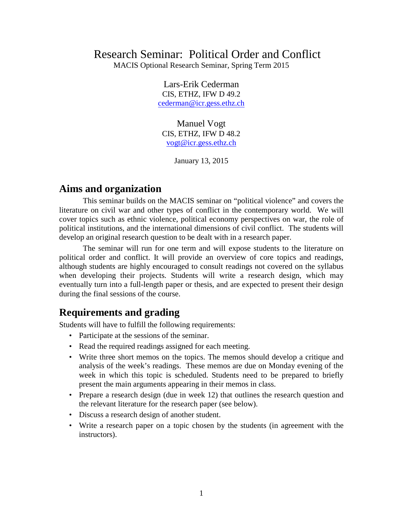# Research Seminar: Political Order and Conflict

MACIS Optional Research Seminar, Spring Term 2015

Lars-Erik Cederman CIS, ETHZ, IFW D 49.2 [cederman@icr.gess.ethz.ch](mailto:cederman@icr.gess.ethz.ch)

Manuel Vogt CIS, ETHZ, IFW D 48.2 [vogt@icr.gess.ethz.ch](mailto:vogt@icr.gess.ethz.ch)

January 13, 2015

### **Aims and organization**

This seminar builds on the MACIS seminar on "political violence" and covers the literature on civil war and other types of conflict in the contemporary world. We will cover topics such as ethnic violence, political economy perspectives on war, the role of political institutions, and the international dimensions of civil conflict. The students will develop an original research question to be dealt with in a research paper.

The seminar will run for one term and will expose students to the literature on political order and conflict. It will provide an overview of core topics and readings, although students are highly encouraged to consult readings not covered on the syllabus when developing their projects. Students will write a research design, which may eventually turn into a full-length paper or thesis, and are expected to present their design during the final sessions of the course.

# **Requirements and grading**

Students will have to fulfill the following requirements:

- Participate at the sessions of the seminar.
- Read the required readings assigned for each meeting.
- Write three short memos on the topics. The memos should develop a critique and analysis of the week's readings. These memos are due on Monday evening of the week in which this topic is scheduled. Students need to be prepared to briefly present the main arguments appearing in their memos in class.
- Prepare a research design (due in week 12) that outlines the research question and the relevant literature for the research paper (see below).
- Discuss a research design of another student.
- Write a research paper on a topic chosen by the students (in agreement with the instructors).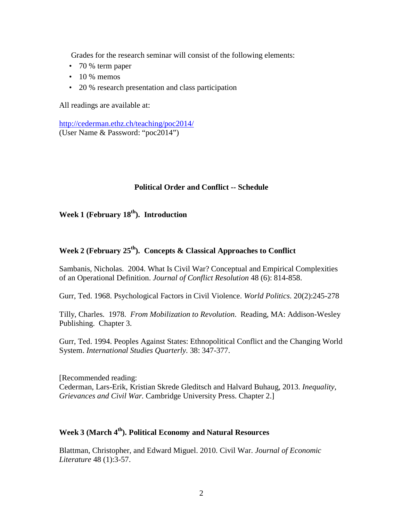Grades for the research seminar will consist of the following elements:

- 70 % term paper
- $\cdot$  10 % memos
- 20 % research presentation and class participation

All readings are available at:

<http://cederman.ethz.ch/teaching/poc2014/> (User Name & Password: "poc2014")

#### **Political Order and Conflict -- Schedule**

#### Week 1 (February 18<sup>th</sup>). Introduction

### **Week 2 (February 25th). Concepts & Classical Approaches to Conflict**

Sambanis, Nicholas. 2004. What Is Civil War? Conceptual and Empirical Complexities of an Operational Definition. *Journal of Conflict Resolution* 48 (6): 814-858.

Gurr, Ted. 1968. Psychological Factors in Civil Violence. *World Politics*. 20(2):245-278

Tilly, Charles. 1978. *From Mobilization to Revolution*. Reading, MA: Addison-Wesley Publishing. Chapter 3.

Gurr, Ted. 1994. Peoples Against States: Ethnopolitical Conflict and the Changing World System. *International Studies Quarterly.* 38: 347-377.

[Recommended reading: Cederman, Lars-Erik, Kristian Skrede Gleditsch and Halvard Buhaug, 2013. *Inequality, Grievances and Civil War.* Cambridge University Press. Chapter 2.]

### Week 3 (March 4<sup>th</sup>). Political Economy and Natural Resources

Blattman, Christopher, and Edward Miguel. 2010. Civil War. *Journal of Economic Literature* 48 (1):3-57.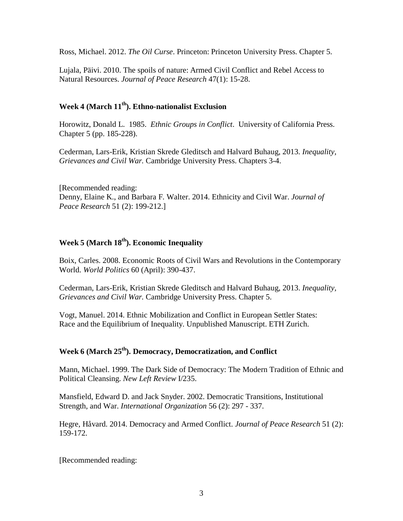Ross, Michael. 2012. *The Oil Curse*. Princeton: Princeton University Press. Chapter 5.

Lujala, Päivi. 2010. The spoils of nature: Armed Civil Conflict and Rebel Access to Natural Resources. *Journal of Peace Research* 47(1): 15-28.

### **Week 4 (March 11th). Ethno-nationalist Exclusion**

Horowitz, Donald L. 1985. *Ethnic Groups in Conflict*. University of California Press. Chapter 5 (pp. 185-228).

Cederman, Lars-Erik, Kristian Skrede Gleditsch and Halvard Buhaug, 2013. *Inequality, Grievances and Civil War.* Cambridge University Press. Chapters 3-4.

[Recommended reading: Denny, Elaine K., and Barbara F. Walter. 2014. Ethnicity and Civil War. *Journal of Peace Research* 51 (2): 199-212.]

#### Week 5 (March 18<sup>th</sup>). Economic Inequality

Boix, Carles. 2008. Economic Roots of Civil Wars and Revolutions in the Contemporary World. *World Politics* 60 (April): 390-437.

Cederman, Lars-Erik, Kristian Skrede Gleditsch and Halvard Buhaug, 2013. *Inequality, Grievances and Civil War.* Cambridge University Press. Chapter 5.

Vogt, Manuel. 2014. Ethnic Mobilization and Conflict in European Settler States: Race and the Equilibrium of Inequality. Unpublished Manuscript. ETH Zurich.

#### **Week 6 (March 25th). Democracy, Democratization, and Conflict**

Mann, Michael. 1999. The Dark Side of Democracy: The Modern Tradition of Ethnic and Political Cleansing. *New Left Review* I/235.

Mansfield, Edward D. and Jack Snyder. 2002. Democratic Transitions, Institutional Strength, and War. *International Organization* 56 (2): 297 - 337.

Hegre, Håvard. 2014. Democracy and Armed Conflict. *Journal of Peace Research* 51 (2): 159-172.

[Recommended reading: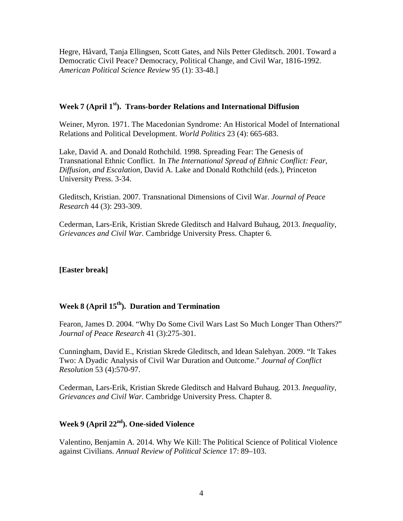Hegre, Håvard, Tanja Ellingsen, Scott Gates, and Nils Petter Gleditsch. 2001. Toward a Democratic Civil Peace? Democracy, Political Change, and Civil War, 1816-1992. *American Political Science Review* 95 (1): 33-48.]

#### **Week 7 (April 1st). Trans-border Relations and International Diffusion**

Weiner, Myron. 1971. The Macedonian Syndrome: An Historical Model of International Relations and Political Development. *World Politics* 23 (4): 665-683.

Lake, David A. and Donald Rothchild. 1998. Spreading Fear: The Genesis of Transnational Ethnic Conflict. In *The International Spread of Ethnic Conflict: Fear, Diffusion, and Escalation*, David A. Lake and Donald Rothchild (eds.), Princeton University Press. 3-34.

Gleditsch, Kristian. 2007. Transnational Dimensions of Civil War. *Journal of Peace Research* 44 (3): 293-309.

Cederman, Lars-Erik, Kristian Skrede Gleditsch and Halvard Buhaug, 2013. *Inequality, Grievances and Civil War.* Cambridge University Press. Chapter 6.

#### **[Easter break]**

# **Week 8 (April 15th). Duration and Termination**

Fearon, James D. 2004. "Why Do Some Civil Wars Last So Much Longer Than Others?" *Journal of Peace Research* 41 (3):275-301.

Cunningham, David E., Kristian Skrede Gleditsch, and Idean Salehyan. 2009. "It Takes Two: A Dyadic Analysis of Civil War Duration and Outcome." *Journal of Conflict Resolution* 53 (4):570-97.

Cederman, Lars-Erik, Kristian Skrede Gleditsch and Halvard Buhaug. 2013. *Inequality, Grievances and Civil War.* Cambridge University Press. Chapter 8.

#### **Week 9 (April 22nd). One-sided Violence**

Valentino, Benjamin A. 2014. Why We Kill: The Political Science of Political Violence against Civilians. *Annual Review of Political Science* 17: 89–103.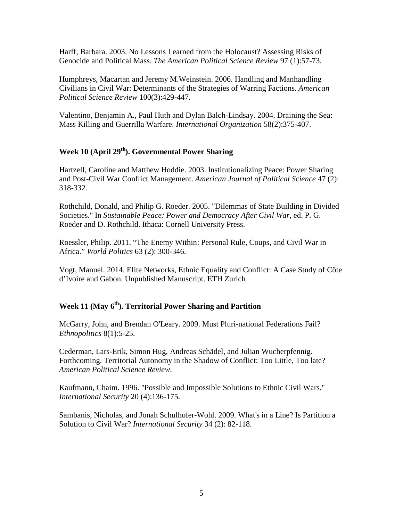Harff, Barbara. 2003. No Lessons Learned from the Holocaust? Assessing Risks of Genocide and Political Mass. *The American Political Science Review* 97 (1):57-73.

Humphreys, Macartan and Jeremy M.Weinstein. 2006. Handling and Manhandling Civilians in Civil War: Determinants of the Strategies of Warring Factions. *American Political Science Review* 100(3):429-447.

Valentino, Benjamin A., Paul Huth and Dylan Balch-Lindsay. 2004. Draining the Sea: Mass Killing and Guerrilla Warfare. *International Organization* 58(2):375-407.

#### Week 10 (April 29<sup>th</sup>). Governmental Power Sharing

Hartzell, Caroline and Matthew Hoddie. 2003. Institutionalizing Peace: Power Sharing and Post-Civil War Conflict Management. *American Journal of Political Science* 47 (2): 318-332.

Rothchild, Donald, and Philip G. Roeder. 2005. "Dilemmas of State Building in Divided Societies." In *Sustainable Peace: Power and Democracy After Civil War*, ed. P. G. Roeder and D. Rothchild. Ithaca: Cornell University Press.

Roessler, Philip. 2011. "The Enemy Within: Personal Rule, Coups, and Civil War in Africa." *World Politics* 63 (2): 300-346.

Vogt, Manuel. 2014. Elite Networks, Ethnic Equality and Conflict: A Case Study of Côte d'Ivoire and Gabon. Unpublished Manuscript. ETH Zurich

### **Week 11 (May 6th). Territorial Power Sharing and Partition**

McGarry, John, and Brendan O'Leary. 2009. Must Pluri-national Federations Fail? *Ethnopolitics* 8(1):5-25.

Cederman, Lars-Erik, Simon Hug, Andreas Schädel, and Julian Wucherpfennig. Forthcoming. Territorial Autonomy in the Shadow of Conflict: Too Little, Too late? *American Political Science Review*.

Kaufmann, Chaim. 1996. "Possible and Impossible Solutions to Ethnic Civil Wars." *International Security* 20 (4):136-175.

Sambanis, Nicholas, and Jonah Schulhofer-Wohl. 2009. What's in a Line? Is Partition a Solution to Civil War? *International Security* 34 (2): 82-118.